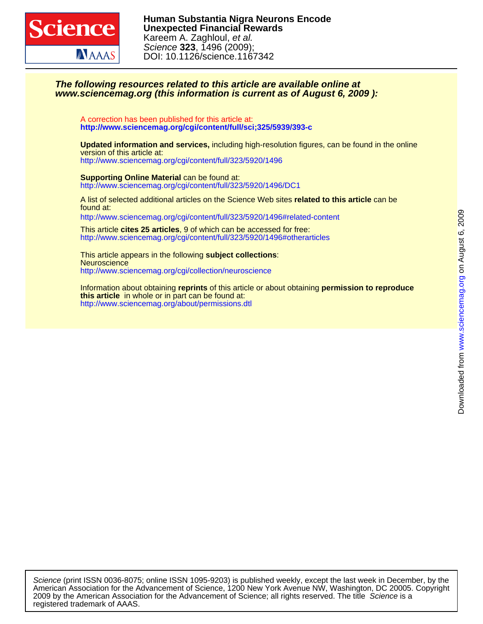

### **www.sciencemag.org (this information is current as of August 6, 2009 ): The following resources related to this article are available online at**

**<http://www.sciencemag.org/cgi/content/full/sci;325/5939/393-c>** A correction has been published for this article at:

<http://www.sciencemag.org/cgi/content/full/323/5920/1496> version of this article at: **Updated information and services,** including high-resolution figures, can be found in the online

<http://www.sciencemag.org/cgi/content/full/323/5920/1496/DC1> **Supporting Online Material** can be found at:

found at: A list of selected additional articles on the Science Web sites **related to this article** can be <http://www.sciencemag.org/cgi/content/full/323/5920/1496#related-content>

<http://www.sciencemag.org/cgi/content/full/323/5920/1496#otherarticles> This article **cites 25 articles**, 9 of which can be accessed for free:

<http://www.sciencemag.org/cgi/collection/neuroscience> **Neuroscience** This article appears in the following **subject collections**:

<http://www.sciencemag.org/about/permissions.dtl> **this article** in whole or in part can be found at: Information about obtaining **reprints** of this article or about obtaining **permission to reproduce**

registered trademark of AAAS. 2009 by the American Association for the Advancement of Science; all rights reserved. The title Science is a American Association for the Advancement of Science, 1200 New York Avenue NW, Washington, DC 20005. Copyright Science (print ISSN 0036-8075; online ISSN 1095-9203) is published weekly, except the last week in December, by the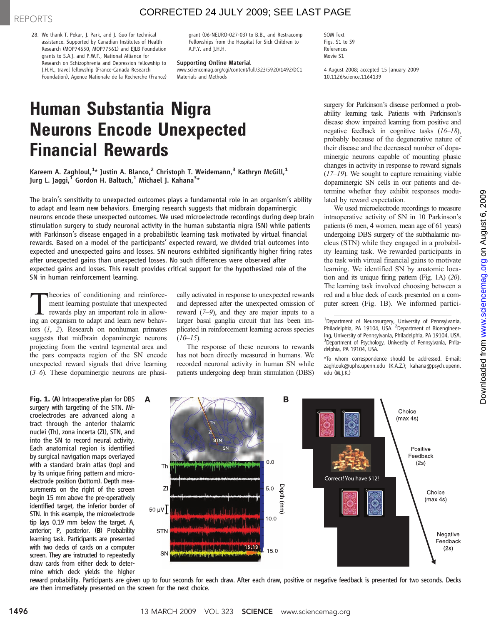### CORRECTED 24 JULY 2009; SEE LAST PAGE

28. We thank T. Pekar, J. Park, and J. Guo for technical assistance. Supported by Canadian Institutes of Health Research (MOP74650, MOP77561) and EJLB Foundation grants to S.A.J. and P.W.F., National Alliance for Research on Schizophrenia and Depression fellowship to J.H.H., travel fellowship (France-Canada Research Foundation), Agence Nationale de la Recherche (France) grant (06-NEURO-027-03) to B.B., and Restracomp Fellowships from the Hospital for Sick Children to A.P.Y. and J.H.H.

#### Supporting Online Material

www.sciencemag.org/cgi/content/full/323/5920/1492/DC1 Materials and Methods

SOM Text Figs. S1 to S9 References Movie S1

4 August 2008; accepted 15 January 2009 10.1126/science.1164139

# Human Substantia Nigra Neurons Encode Unexpected Financial Rewards

Kareem A. Zaghloul,<sup>1</sup>\* Justin A. Blanco,<sup>2</sup> Christoph T. Weidemann,<sup>3</sup> Kathryn McGill,<sup>1</sup> Jurg L. Jaggi, $^{\bar{1}}$  Gordon H. Baltuch, $^{\bar{1}}$  Michael J. Kahana $^{\bar{3}*}$ 

The brain's sensitivity to unexpected outcomes plays a fundamental role in an organism's ability to adapt and learn new behaviors. Emerging research suggests that midbrain dopaminergic neurons encode these unexpected outcomes. We used microelectrode recordings during deep brain stimulation surgery to study neuronal activity in the human substantia nigra (SN) while patients with Parkinson's disease engaged in a probabilistic learning task motivated by virtual financial rewards. Based on a model of the participants' expected reward, we divided trial outcomes into expected and unexpected gains and losses. SN neurons exhibited significantly higher firing rates after unexpected gains than unexpected losses. No such differences were observed after expected gains and losses. This result provides critical support for the hypothesized role of the SN in human reinforcement learning.

Theories of conditioning and reinforce-<br>
ment learning postulate that unexpected<br>
rewards play an important role in allow-<br>
ing an organism to adant and learn new behavment learning postulate that unexpected ing an organism to adapt and learn new behaviors (1, 2). Research on nonhuman primates suggests that midbrain dopaminergic neurons projecting from the ventral tegmental area and the pars compacta region of the SN encode unexpected reward signals that drive learning (3–6). These dopaminergic neurons are phasi-

Fig. 1. (A) Intraoperative plan for DBS surgery with targeting of the STN. Microelectrodes are advanced along a tract through the anterior thalamic nuclei (Th), zona incerta (ZI), STN, and into the SN to record neural activity. Each anatomical region is identified by surgical navigation maps overlayed with a standard brain atlas (top) and by its unique firing pattern and microelectrode position (bottom). Depth measurements on the right of the screen begin 15 mm above the pre-operatively identified target, the inferior border of STN. In this example, the microelectrode tip lays 0.19 mm below the target. A, anterior; P, posterior. (B) Probability learning task. Participants are presented with two decks of cards on a computer screen. They are instructed to repeatedly draw cards from either deck to determine which deck yields the higher cally activated in response to unexpected rewards and depressed after the unexpected omission of reward (7–9), and they are major inputs to a larger basal ganglia circuit that has been implicated in reinforcement learning across species  $(10–15)$ .

The response of these neurons to rewards has not been directly measured in humans. We recorded neuronal activity in human SN while patients undergoing deep brain stimulation (DBS) surgery for Parkinson's disease performed a probability learning task. Patients with Parkinson's disease show impaired learning from positive and negative feedback in cognitive tasks (16–18), probably because of the degenerative nature of their disease and the decreased number of dopaminergic neurons capable of mounting phasic changes in activity in response to reward signals  $(17–19)$ . We sought to capture remaining viable dopaminergic SN cells in our patients and determine whether they exhibit responses modulated by reward expectation.

We used microelectrode recordings to measure intraoperative activity of SN in 10 Parkinson's patients (6 men, 4 women, mean age of 61 years) undergoing DBS surgery of the subthalamic nucleus (STN) while they engaged in a probability learning task. We rewarded participants in the task with virtual financial gains to motivate learning. We identified SN by anatomic location and its unique firing pattern (Fig. 1A) (20). The learning task involved choosing between a red and a blue deck of cards presented on a computer screen (Fig. 1B). We informed partici-

<sup>1</sup> Department of Neurosurgery, University of Pennsylvania,<br>Philadelphia, PA 19104, USA. <sup>2</sup> Department of Bioengineering, University of Pennsylvania, Philadelphia, PA 19104, USA. <sup>3</sup>Department of Psychology, University of Pennsylvania, Philadelphia, PA 19104, USA.

\*To whom correspondence should be addressed. E-mail: zaghlouk@uphs.upenn.edu (K.A.Z.); kahana@psych.upenn. edu (M.J.K.)



reward probability. Participants are given up to four seconds for each draw. After each draw, positive or negative feedback is presented for two seconds. Decks are then immediately presented on the screen for the next choice.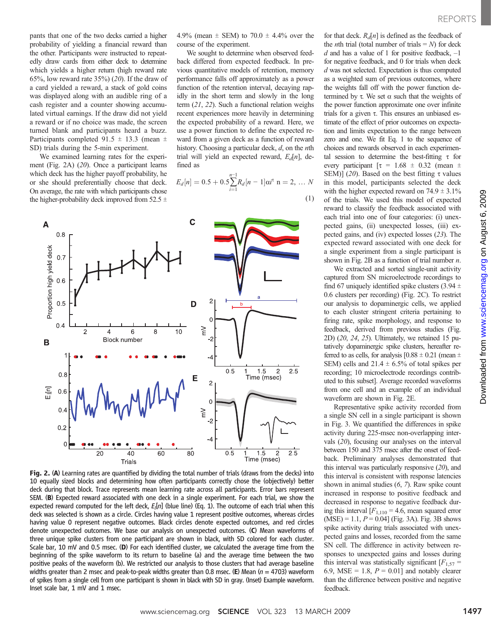pants that one of the two decks carried a higher probability of yielding a financial reward than the other. Participants were instructed to repeatedly draw cards from either deck to determine which yields a higher return (high reward rate 65%, low reward rate  $35\%$  (20). If the draw of a card yielded a reward, a stack of gold coins was displayed along with an audible ring of a cash register and a counter showing accumulated virtual earnings. If the draw did not yield a reward or if no choice was made, the screen turned blank and participants heard a buzz. Participants completed 91.5  $\pm$  13.3 (mean  $\pm$ SD) trials during the 5-min experiment.

We examined learning rates for the experiment (Fig. 2A) (20). Once a participant learns which deck has the higher payoff probability, he or she should preferentially choose that deck. On average, the rate with which participants chose the higher-probability deck improved from 52.5  $\pm$ 

4.9% (mean  $\pm$  SEM) to 70.0  $\pm$  4.4% over the course of the experiment.

We sought to determine when observed feedback differed from expected feedback. In previous quantitative models of retention, memory performance falls off approximately as a power function of the retention interval, decaying rapidly in the short term and slowly in the long term (21, 22). Such a functional relation weighs recent experiences more heavily in determining the expected probability of a reward. Here, we use a power function to define the expected reward from a given deck as a function of reward history. Choosing a particular deck,  $d$ , on the *n*th trial will yield an expected reward,  $E_d[n]$ , defined as

$$
E_d[n] = 0.5 + 0.5 \sum_{i=1}^{n-1} R_d[n-1] \alpha i^{\tau} \quad n = 2, \dots N
$$
\n(1)



Fig. 2. (A) Learning rates are quantified by dividing the total number of trials (draws from the decks) into 10 equally sized blocks and determining how often participants correctly chose the (objectively) better deck during that block. Trace represents mean learning rate across all participants. Error bars represent SEM. (B) Expected reward associated with one deck in a single experiment. For each trial, we show the expected reward computed for the left deck, E<sub>l</sub>[n] (blue line) (Eq. 1). The outcome of each trial when this deck was selected is shown as a circle. Circles having value 1 represent positive outcomes, whereas circles having value 0 represent negative outcomes. Black circles denote expected outcomes, and red circles denote unexpected outcomes. We base our analysis on unexpected outcomes. (C) Mean waveforms of three unique spike clusters from one participant are shown in black, with SD colored for each cluster. Scale bar, 10 mV and 0.5 msec. (D) For each identified cluster, we calculated the average time from the beginning of the spike waveform to its return to baseline (a) and the average time between the two positive peaks of the waveform (b). We restricted our analysis to those clusters that had average baseline widths greater than 2 msec and peak-to-peak widths greater than 0.8 msec. (E) Mean ( $n = 4703$ ) waveform of spikes from a single cell from one participant is shown in black with SD in gray. (Inset) Example waveform. Inset scale bar, 1 mV and 1 msec.

for that deck.  $R_d[n]$  is defined as the feedback of the *n*th trial (total number of trials  $= N$ ) for deck  $d$  and has a value of 1 for positive feedback,  $-1$ for negative feedback, and 0 for trials when deck d was not selected. Expectation is thus computed as a weighted sum of previous outcomes, where the weights fall off with the power function determined by  $\tau$ . We set  $\alpha$  such that the weights of the power function approximate one over infinite trials for a given  $\tau$ . This ensures an unbiased estimate of the effect of prior outcomes on expectation and limits expectation to the range between zero and one. We fit Eq. 1 to the sequence of choices and rewards observed in each experimental session to determine the best-fitting  $\tau$  for every participant  $\tau = 1.68 \pm 0.32$  (mean  $\pm$ SEM)] (20). Based on the best fitting  $\tau$  values in this model, participants selected the deck with the higher expected reward on  $74.9 \pm 3.1\%$ of the trials. We used this model of expected reward to classify the feedback associated with each trial into one of four categories: (i) unexpected gains, (ii) unexpected losses, (iii) expected gains, and (iv) expected losses (23). The expected reward associated with one deck for a single experiment from a single participant is shown in Fig. 2B as a function of trial number  $n$ .

We extracted and sorted single-unit activity captured from SN microelectrode recordings to find 67 uniquely identified spike clusters (3.94  $\pm$ 0.6 clusters per recording) (Fig. 2C). To restrict our analysis to dopaminergic cells, we applied to each cluster stringent criteria pertaining to firing rate, spike morphology, and response to feedback, derived from previous studies (Fig. 2D) (20, 24, 25). Ultimately, we retained 15 putatively dopaminergic spike clusters, hereafter referred to as cells, for analysis  $[0.88 \pm 0.21$  (mean  $\pm$ SEM) cells and  $21.4 \pm 6.5\%$  of total spikes per recording; 10 microelectrode recordings contributed to this subset]. Average recorded waveforms from one cell and an example of an individual waveform are shown in Fig. 2E.

Representative spike activity recorded from a single SN cell in a single participant is shown in Fig. 3. We quantified the differences in spike activity during 225-msec non-overlapping intervals (20), focusing our analyses on the interval between 150 and 375 msec after the onset of feedback. Preliminary analyses demonstrated that this interval was particularly responsive (20), and this interval is consistent with response latencies shown in animal studies (6, 7). Raw spike count increased in response to positive feedback and decreased in response to negative feedback during this interval  $[F_{1,110} = 4.6$ , mean squared error  $(MSE) = 1.1, P = 0.04$  (Fig. 3A). Fig. 3B shows spike activity during trials associated with unexpected gains and losses, recorded from the same SN cell. The difference in activity between responses to unexpected gains and losses during this interval was statistically significant  $[F<sub>1,57</sub>]$ 6.9, MSE = 1.8,  $P = 0.01$ ] and notably clearer than the difference between positive and negative feedback.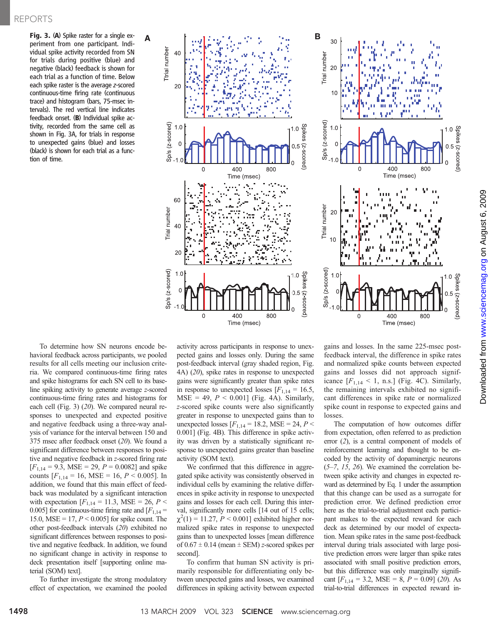Fig. 3. (A) Spike raster for a single experiment from one participant. Individual spike activity recorded from SN for trials during positive (blue) and negative (black) feedback is shown for each trial as a function of time. Below each spike raster is the average z-scored continuous-time firing rate (continuous trace) and histogram (bars, 75-msec intervals). The red vertical line indicates feedback onset. (B) Individual spike activity, recorded from the same cell as shown in Fig. 3A, for trials in response to unexpected gains (blue) and losses (black) is shown for each trial as a function of time.



To determine how SN neurons encode behavioral feedback across participants, we pooled results for all cells meeting our inclusion criteria. We compared continuous-time firing rates and spike histograms for each SN cell to its baseline spiking activity to generate average z-scored continuous-time firing rates and histograms for each cell (Fig. 3) (20). We compared neural responses to unexpected and expected positive and negative feedback using a three-way analysis of variance for the interval between 150 and 375 msec after feedback onset (20). We found a significant difference between responses to positive and negative feedback in z-scored firing rate  $[F<sub>1,14</sub> = 9.3, MSE = 29, P = 0.0082]$  and spike counts  $[F_{1,14} = 16, \text{MSE} = 16, P < 0.005]$ . In addition, we found that this main effect of feedback was modulated by a significant interaction with expectation  $[F_{1,14} = 11.3, \text{MSE} = 26, P <$ 0.005] for continuous-time firing rate and  $[F<sub>1,14</sub> =$ 15.0, MSE = 17,  $P < 0.005$ ] for spike count. The other post-feedback intervals (20) exhibited no significant differences between responses to positive and negative feedback. In addition, we found no significant change in activity in response to deck presentation itself [supporting online material (SOM) text].

To further investigate the strong modulatory effect of expectation, we examined the pooled activity across participants in response to unexpected gains and losses only. During the same post-feedback interval (gray shaded region, Fig. 4A) (20), spike rates in response to unexpected gains were significantly greater than spike rates in response to unexpected losses  $[F<sub>1,14</sub> = 16.5]$ ,  $MSE = 49, P < 0.001$ ] (Fig. 4A). Similarly, z-scored spike counts were also significantly greater in response to unexpected gains than to unexpected losses  $[F_{1,14} = 18.2, \text{MSE} = 24, P <$ 0.001] (Fig. 4B). This difference in spike activity was driven by a statistically significant response to unexpected gains greater than baseline activity (SOM text).

We confirmed that this difference in aggregated spike activity was consistently observed in individual cells by examining the relative differences in spike activity in response to unexpected gains and losses for each cell. During this interval, significantly more cells [14 out of 15 cells;  $\chi^2(1) = 11.27, P < 0.001$ ] exhibited higher normalized spike rates in response to unexpected gains than to unexpected losses [mean difference of  $0.67 \pm 0.14$  (mean  $\pm$  SEM) z-scored spikes per second].

To confirm that human SN activity is primarily responsible for differentiating only between unexpected gains and losses, we examined differences in spiking activity between expected gains and losses. In the same 225-msec postfeedback interval, the difference in spike rates and normalized spike counts between expected gains and losses did not approach significance  $[F_{1,14} \leq 1, n.s.]$  (Fig. 4C). Similarly, the remaining intervals exhibited no significant differences in spike rate or normalized spike count in response to expected gains and losses.

The computation of how outcomes differ from expectation, often referred to as prediction error (2), is a central component of models of reinforcement learning and thought to be encoded by the activity of dopaminergic neurons  $(5-7, 15, 26)$ . We examined the correlation between spike activity and changes in expected reward as determined by Eq. 1 under the assumption that this change can be used as a surrogate for prediction error. We defined prediction error here as the trial-to-trial adjustment each participant makes to the expected reward for each deck as determined by our model of expectation. Mean spike rates in the same post-feedback interval during trials associated with large positive prediction errors were larger than spike rates associated with small positive prediction errors, but this difference was only marginally significant  $[F_{1,14} = 3.2, \text{MSE} = 8, P = 0.09]$  (20). As trial-to-trial differences in expected reward in-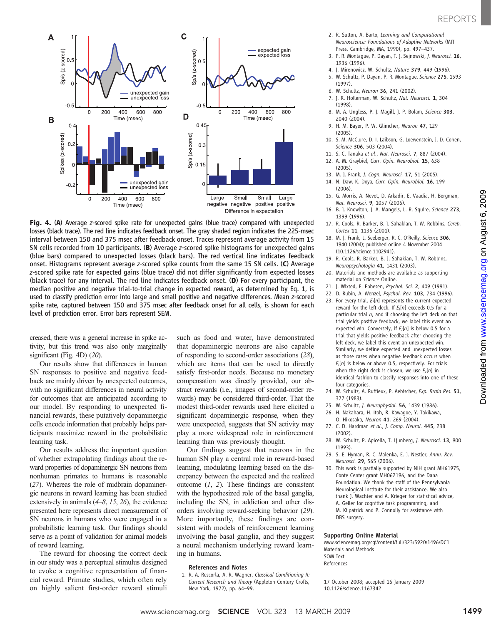www.sciencemag.orgon August 6, 2009

Downloaded from www.sciencemag.org on August 6, 2009

Downloaded from



Fig. 4. (A) Average <sup>z</sup>-scored spike rate for unexpected gains (blue trace) compared with unexpected losses (black trace). The red line indicates feedback onset. The gray shaded region indicates the 225-msec interval between 150 and 375 msec after feedback onset. Traces represent average activity from 15 SN cells recorded from 10 participants. (B) Average <sup>z</sup>-scored spike histograms for unexpected gains (blue bars) compared to unexpected losses (black bars). The red vertical line indicates feedback onset. Histograms represent average <sup>z</sup>-scored spike counts from the same 15 SN cells. (C) Average z-scored spike rate for expected gains (blue trace) did not differ significantly from expected losses (black trace) for any interval. The red line indicates feedback onset. (D) For every participant, the median positive and negative trial-to-trial change in expected reward, as determined by Eq. 1, is used to classify prediction error into large and small positive and negative differences. Mean z-scored spike rate, captured between 150 and 375 msec after feedback onset for all cells, is shown for each level of prediction error. Error bars represent SEM.

creased, there was a general increase in spike activity, but this trend was also only marginally significant (Fig. 4D) (20).

Our results show that differences in human SN responses to positive and negative feedback are mainly driven by unexpected outcomes, with no significant differences in neural activity for outcomes that are anticipated according to our model. By responding to unexpected financial rewards, these putatively dopaminergic cells encode information that probably helps participants maximize reward in the probabilistic learning task.

Our results address the important question of whether extrapolating findings about the reward properties of dopaminergic SN neurons from nonhuman primates to humans is reasonable (27). Whereas the role of midbrain dopaminergic neurons in reward learning has been studied extensively in animals  $(4–8, 15, 26)$ , the evidence presented here represents direct measurement of SN neurons in humans who were engaged in a probabilistic learning task. Our findings should serve as a point of validation for animal models of reward learning.

The reward for choosing the correct deck in our study was a perceptual stimulus designed to evoke a cognitive representation of financial reward. Primate studies, which often rely on highly salient first-order reward stimuli

such as food and water, have demonstrated that dopaminergic neurons are also capable of responding to second-order associations (28), which are items that can be used to directly satisfy first-order needs. Because no monetary compensation was directly provided, our abstract rewards (i.e., images of second-order rewards) may be considered third-order. That the modest third-order rewards used here elicited a significant dopaminergic response, when they were unexpected, suggests that SN activity may play a more widespread role in reinforcement learning than was previously thought.

Our findings suggest that neurons in the human SN play a central role in reward-based learning, modulating learning based on the discrepancy between the expected and the realized outcome  $(1, 2)$ . These findings are consistent with the hypothesized role of the basal ganglia, including the SN, in addiction and other disorders involving reward-seeking behavior (29). More importantly, these findings are consistent with models of reinforcement learning involving the basal ganglia, and they suggest a neural mechanism underlying reward learning in humans.

#### References and Notes

1. R. A. Rescorla, A. R. Wagner, Classical Conditioning II: Current Research and Theory (Appleton Century Crofts, New York, 1972), pp. 64–99.

- 2. R. Sutton, A. Barto, Learning and Computational Neuroscience: Foundations of Adaptive Networks (MIT Press, Cambridge, MA, 1990), pp. 497–437.
- 3. P. R. Montague, P. Dayan, T. J. Sejnowski, J. Neurosci. 16, 1936 (1996).
- 4. J. Mirenowicz, W. Schultz, Nature 379, 449 (1996).
- 5. W. Schultz, P. Dayan, P. R. Montague, Science 275, 1593 (1997).
- 6. W. Schultz, Neuron 36, 241 (2002).
- 7. J. R. Hollerman, W. Schultz, Nat. Neurosci. 1, 304 (1998).
- 8. M. A. Ungless, P. J. Magill, J. P. Bolam, Science 303, 2040 (2004).
- 9. H. M. Bayer, P. W. Glimcher, Neuron 47, 129 (2005).
- 10. S. M. McClure, D. I. Laibson, G. Loewenstein, J. D. Cohen, Science 306, 503 (2004).
- 11. S. C. Tanaka et al., Nat. Neurosci. 7, 887 (2004). 12. A. M. Graybiel, Curr. Opin. Neurobiol. 15, 638
- (2005).
- 13. M. J. Frank, J. Cogn. Neurosci. 17, 51 (2005). 14. N. Daw, K. Doya, Curr. Opin. Neurobiol. 16, 199 (2006).
- 15. G. Morris, A. Nevet, D. Arkadir, E. Vaadia, H. Bergman, Nat. Neurosci. 9, 1057 (2006).
- 16. B. J. Knowlton, J. A. Mangels, L. R. Squire, Science 273, 1399 (1996).
- 17. R. Cools, R. Barker, B. J. Sahakian, T. W. Robbins, Cereb. Cortex 11, 1136 (2001).
- 18. M. J. Frank, L. Seeberger, R. C. O'Reilly, Science 306, 1940 (2004); published online 4 November 2004 (10.1126/science.1102941).
- 19. R. Cools, R. Barker, B. J. Sahakian, T. W. Robbins, Neuropsychologia 41, 1431 (2003).
- 20. Materials and methods are available as supporting material on Science Online.
- 21. J. Wixted, E. Ebbesen, Psychol. Sci. 2, 409 (1991).
- 22. D. Rubin, A. Wenzel, Psychol. Rev. 103, 734 (1996).
- 23. For every trial,  $E_l[n]$  represents the current expected reward for the left deck. If  $E_l[n]$  exceeds 0.5 for a particular trial  $n$ , and if choosing the left deck on that trial yields positive feedback, we label this event an expected win. Conversely, if  $E_{l}[n]$  is below 0.5 for a trial that yields positive feedback after choosing the left deck, we label this event an unexpected win. Similarly, we define expected and unexpected losses as those cases when negative feedback occurs when  $E_l[n]$  is below or above 0.5, respectively. For trials when the right deck is chosen, we use  $E_r[n]$  in identical fashion to classify responses into one of these four categories.
- 24. W. Schultz, A. Ruffieux, P. Aebischer, Exp. Brain Res. 51, 377 (1983).
- 25. W. Schultz, J. Neurophysiol. 56, 1439 (1986).
- 26. H. Nakahara, H. Itoh, R. Kawagoe, Y. Takikawa,
- O. Hikosaka, Neuron 41, 269 (2004). 27. C. D. Hardman et al., J. Comp. Neurol. 445, 238 (2002).
- 28. W. Schultz, P. Apicella, T. Ljunberg, J. Neurosci. 13, 900 (1993).
- 29. S. E. Hyman, R. C. Malenka, E. J. Nestler, Annu. Rev. Neurosci. 29, 565 (2006).
- 30. This work is partially supported by NIH grant MH61975, Conte Center grant MH062196, and the Dana Foundation. We thank the staff of the Pennsylvania Neurological Institute for their assistance. We also thank J. Wachter and A. Krieger for statistical advice, A. Geller for cognitive task programming, and M. Kilpatrick and P. Connolly for assistance with DBS surgery.

#### Supporting Online Material

www.sciencemag.org/cgi/content/full/323/5920/1496/DC1 Materials and Methods SOM Text References

17 October 2008; accepted 16 January 2009 10.1126/science.1167342